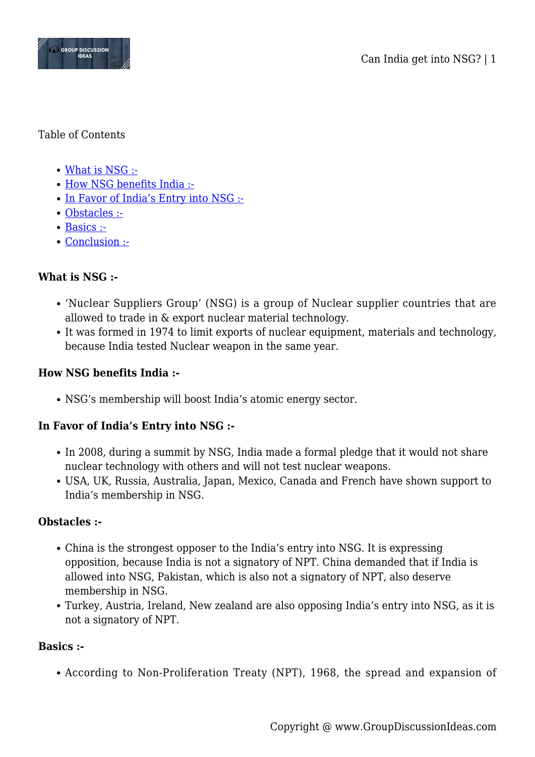

### Table of Contents

- [What is NSG :-](#page--1-0)
- [How NSG benefits India :-](#page--1-0)
- [In Favor of India's Entry into NSG :-](#page--1-0)
- [Obstacles :-](#page--1-0)
- [Basics :-](#page--1-0)
- [Conclusion :-](#page--1-0)

# **What is NSG :-**

- 'Nuclear Suppliers Group' (NSG) is a group of Nuclear supplier countries that are allowed to trade in & export nuclear material technology.
- It was formed in 1974 to limit exports of nuclear equipment, materials and technology, because India tested Nuclear weapon in the same year.

### **How NSG benefits India :-**

NSG's membership will boost India's atomic energy sector.

## **In Favor of India's Entry into NSG :-**

- In 2008, during a summit by NSG, India made a formal pledge that it would not share nuclear technology with others and will not test nuclear weapons.
- USA, UK, Russia, Australia, Japan, Mexico, Canada and French have shown support to India's membership in NSG.

### **Obstacles :-**

- China is the strongest opposer to the India's entry into NSG. It is expressing opposition, because India is not a signatory of NPT. China demanded that if India is allowed into NSG, Pakistan, which is also not a signatory of NPT, also deserve membership in NSG.
- Turkey, Austria, Ireland, New zealand are also opposing India's entry into NSG, as it is not a signatory of NPT.

### **Basics :-**

According to Non-Proliferation Treaty (NPT), 1968, the spread and expansion of